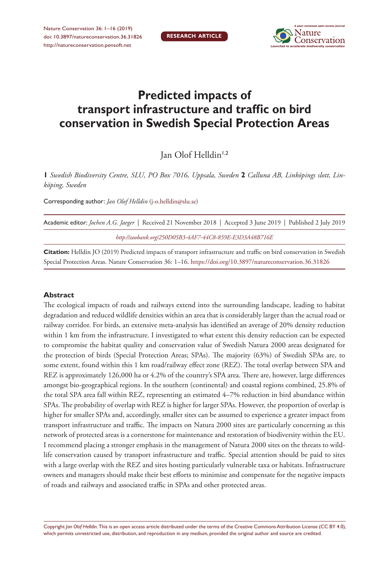**RESEARCH ARTICLE**



# **Predicted impacts of transport infrastructure and traffic on bird conservation in Swedish Special Protection Areas**

Jan Olof Helldin1,2

**1** *Swedish Biodiversity Centre, SLU, PO Box 7016, Uppsala, Sweden* **2** *Calluna AB, Linköpings slott, Linköping, Sweden*

Corresponding author: *Jan Olof Helldin* [\(j-o.helldin@slu.se\)](mailto:j-o.helldin@slu.se)

| Academic editor: <i>Jochen A.G. Jaeger</i>   Received 21 November 2018   Accepted 3 June 2019   Published 2 July 2019 |  |  |  |  |  |  |  |  |
|-----------------------------------------------------------------------------------------------------------------------|--|--|--|--|--|--|--|--|
| http://zoobank.org/250D05B3-4AF7-44C8-859E-E3D3A48B716E                                                               |  |  |  |  |  |  |  |  |

**Citation:** Helldin JO (2019) Predicted impacts of transport infrastructure and traffic on bird conservation in Swedish Special Protection Areas. Nature Conservation 36: 1–16.<https://doi.org/10.3897/natureconservation.36.31826>

#### **Abstract**

The ecological impacts of roads and railways extend into the surrounding landscape, leading to habitat degradation and reduced wildlife densities within an area that is considerably larger than the actual road or railway corridor. For birds, an extensive meta-analysis has identified an average of 20% density reduction within 1 km from the infrastructure. I investigated to what extent this density reduction can be expected to compromise the habitat quality and conservation value of Swedish Natura 2000 areas designated for the protection of birds (Special Protection Areas; SPAs). The majority (63%) of Swedish SPAs are, to some extent, found within this 1 km road/railway effect zone (REZ). The total overlap between SPA and REZ is approximately 126,000 ha or 4.2% of the country's SPA area. There are, however, large differences amongst bio-geographical regions. In the southern (continental) and coastal regions combined, 25.8% of the total SPA area fall within REZ, representing an estimated 4–7% reduction in bird abundance within SPAs. The probability of overlap with REZ is higher for larger SPAs. However, the proportion of overlap is higher for smaller SPAs and, accordingly, smaller sites can be assumed to experience a greater impact from transport infrastructure and traffic. The impacts on Natura 2000 sites are particularly concerning as this network of protected areas is a cornerstone for maintenance and restoration of biodiversity within the EU. I recommend placing a stronger emphasis in the management of Natura 2000 sites on the threats to wildlife conservation caused by transport infrastructure and traffic. Special attention should be paid to sites with a large overlap with the REZ and sites hosting particularly vulnerable taxa or habitats. Infrastructure owners and managers should make their best efforts to minimise and compensate for the negative impacts of roads and railways and associated traffic in SPAs and other protected areas.

Copyright *Jan Olof Helldin.* This is an open access article distributed under the terms of the [Creative Commons Attribution License \(CC BY 4.0\),](http://creativecommons.org/licenses/by/4.0/) which permits unrestricted use, distribution, and reproduction in any medium, provided the original author and source are credited.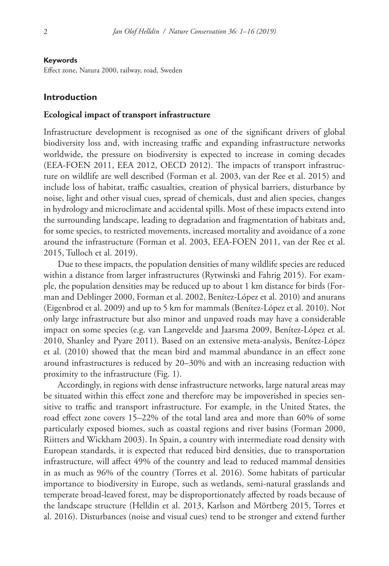#### **Keywords**

Effect zone, Natura 2000, railway, road, Sweden

#### **Introduction**

#### **Ecological impact of transport infrastructure**

Infrastructure development is recognised as one of the significant drivers of global biodiversity loss and, with increasing traffic and expanding infrastructure networks worldwide, the pressure on biodiversity is expected to increase in coming decades (EEA-FOEN 2011, EEA 2012, OECD 2012). The impacts of transport infrastructure on wildlife are well described (Forman et al. 2003, van der Ree et al. 2015) and include loss of habitat, traffic casualties, creation of physical barriers, disturbance by noise, light and other visual cues, spread of chemicals, dust and alien species, changes in hydrology and microclimate and accidental spills. Most of these impacts extend into the surrounding landscape, leading to degradation and fragmentation of habitats and, for some species, to restricted movements, increased mortality and avoidance of a zone around the infrastructure (Forman et al. 2003, EEA-FOEN 2011, van der Ree et al. 2015, Tulloch et al. 2019).

Due to these impacts, the population densities of many wildlife species are reduced within a distance from larger infrastructures (Rytwinski and Fahrig 2015). For example, the population densities may be reduced up to about 1 km distance for birds (Forman and Deblinger 2000, Forman et al. 2002, Benítez-López et al. 2010) and anurans (Eigenbrod et al. 2009) and up to 5 km for mammals (Benítez-López et al. 2010). Not only large infrastructure but also minor and unpaved roads may have a considerable impact on some species (e.g. van Langevelde and Jaarsma 2009, Benítez-López et al. 2010, Shanley and Pyare 2011). Based on an extensive meta-analysis, Benítez-López et al. (2010) showed that the mean bird and mammal abundance in an effect zone around infrastructures is reduced by 20–30% and with an increasing reduction with proximity to the infrastructure (Fig. 1).

Accordingly, in regions with dense infrastructure networks, large natural areas may be situated within this effect zone and therefore may be impoverished in species sensitive to traffic and transport infrastructure. For example, in the United States, the road effect zone covers 15–22% of the total land area and more than 60% of some particularly exposed biomes, such as coastal regions and river basins (Forman 2000, Riitters and Wickham 2003). In Spain, a country with intermediate road density with European standards, it is expected that reduced bird densities, due to transportation infrastructure, will affect 49% of the country and lead to reduced mammal densities in as much as 96% of the country (Torres et al. 2016). Some habitats of particular importance to biodiversity in Europe, such as wetlands, semi-natural grasslands and temperate broad-leaved forest, may be disproportionately affected by roads because of the landscape structure (Helldin et al. 2013, Karlson and Mörtberg 2015, Torres et al. 2016). Disturbances (noise and visual cues) tend to be stronger and extend further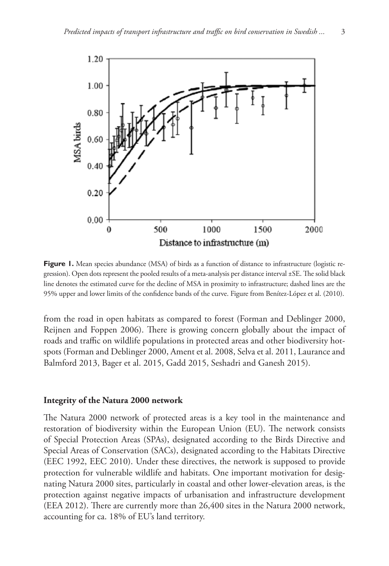

**Figure 1.** Mean species abundance (MSA) of birds as a function of distance to infrastructure (logistic regression). Open dots represent the pooled results of a meta-analysis per distance interval ±SE. The solid black line denotes the estimated curve for the decline of MSA in proximity to infrastructure; dashed lines are the 95% upper and lower limits of the confidence bands of the curve. Figure from Benítez-López et al. (2010).

from the road in open habitats as compared to forest (Forman and Deblinger 2000, Reijnen and Foppen 2006). There is growing concern globally about the impact of roads and traffic on wildlife populations in protected areas and other biodiversity hotspots (Forman and Deblinger 2000, Ament et al. 2008, Selva et al. 2011, Laurance and Balmford 2013, Bager et al. 2015, Gadd 2015, Seshadri and Ganesh 2015).

#### **Integrity of the Natura 2000 network**

The Natura 2000 network of protected areas is a key tool in the maintenance and restoration of biodiversity within the European Union (EU). The network consists of Special Protection Areas (SPAs), designated according to the Birds Directive and Special Areas of Conservation (SACs), designated according to the Habitats Directive (EEC 1992, EEC 2010). Under these directives, the network is supposed to provide protection for vulnerable wildlife and habitats. One important motivation for designating Natura 2000 sites, particularly in coastal and other lower-elevation areas, is the protection against negative impacts of urbanisation and infrastructure development (EEA 2012). There are currently more than 26,400 sites in the Natura 2000 network, accounting for ca. 18% of EU's land territory.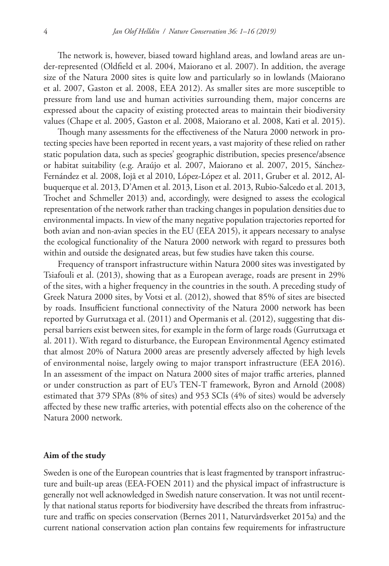The network is, however, biased toward highland areas, and lowland areas are under-represented (Oldfield et al. 2004, Maiorano et al. 2007). In addition, the average size of the Natura 2000 sites is quite low and particularly so in lowlands (Maiorano et al. 2007, Gaston et al. 2008, EEA 2012). As smaller sites are more susceptible to pressure from land use and human activities surrounding them, major concerns are expressed about the capacity of existing protected areas to maintain their biodiversity values (Chape et al. 2005, Gaston et al. 2008, Maiorano et al. 2008, Kati et al. 2015).

Though many assessments for the effectiveness of the Natura 2000 network in protecting species have been reported in recent years, a vast majority of these relied on rather static population data, such as species' geographic distribution, species presence/absence or habitat suitability (e.g. Araújo et al. 2007, Maiorano et al. 2007, 2015, Sánchez-Fernández et al. 2008, Iojă et al 2010, López-López et al. 2011, Gruber et al. 2012, Albuquerque et al. 2013, D'Amen et al. 2013, Lison et al. 2013, Rubio-Salcedo et al. 2013, Trochet and Schmeller 2013) and, accordingly, were designed to assess the ecological representation of the network rather than tracking changes in population densities due to environmental impacts. In view of the many negative population trajectories reported for both avian and non-avian species in the EU (EEA 2015), it appears necessary to analyse the ecological functionality of the Natura 2000 network with regard to pressures both within and outside the designated areas, but few studies have taken this course.

Frequency of transport infrastructure within Natura 2000 sites was investigated by Tsiafouli et al. (2013), showing that as a European average, roads are present in 29% of the sites, with a higher frequency in the countries in the south. A preceding study of Greek Natura 2000 sites, by Votsi et al. (2012), showed that 85% of sites are bisected by roads. Insufficient functional connectivity of the Natura 2000 network has been reported by Gurrutxaga et al. (2011) and Opermanis et al. (2012), suggesting that dispersal barriers exist between sites, for example in the form of large roads (Gurrutxaga et al. 2011). With regard to disturbance, the European Environmental Agency estimated that almost 20% of Natura 2000 areas are presently adversely affected by high levels of environmental noise, largely owing to major transport infrastructure (EEA 2016). In an assessment of the impact on Natura 2000 sites of major traffic arteries, planned or under construction as part of EU's TEN-T framework, Byron and Arnold (2008) estimated that 379 SPAs (8% of sites) and 953 SCIs (4% of sites) would be adversely affected by these new traffic arteries, with potential effects also on the coherence of the Natura 2000 network.

#### **Aim of the study**

Sweden is one of the European countries that is least fragmented by transport infrastructure and built-up areas (EEA-FOEN 2011) and the physical impact of infrastructure is generally not well acknowledged in Swedish nature conservation. It was not until recently that national status reports for biodiversity have described the threats from infrastructure and traffic on species conservation (Bernes 2011, Naturvårdsverket 2015a) and the current national conservation action plan contains few requirements for infrastructure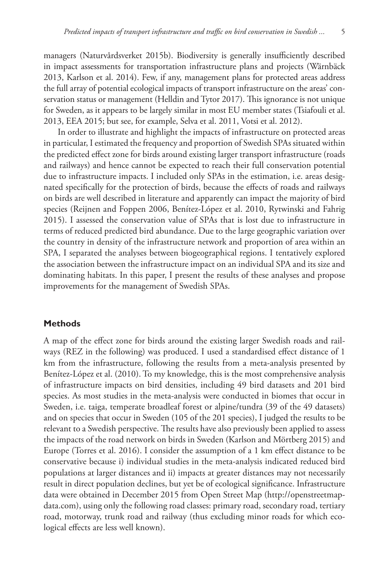managers (Naturvårdsverket 2015b). Biodiversity is generally insufficiently described in impact assessments for transportation infrastructure plans and projects (Wärnbäck 2013, Karlson et al. 2014). Few, if any, management plans for protected areas address the full array of potential ecological impacts of transport infrastructure on the areas' conservation status or management (Helldin and Tytor 2017). This ignorance is not unique for Sweden, as it appears to be largely similar in most EU member states (Tsiafouli et al. 2013, EEA 2015; but see, for example, Selva et al. 2011, Votsi et al. 2012).

In order to illustrate and highlight the impacts of infrastructure on protected areas in particular, I estimated the frequency and proportion of Swedish SPAs situated within the predicted effect zone for birds around existing larger transport infrastructure (roads and railways) and hence cannot be expected to reach their full conservation potential due to infrastructure impacts. I included only SPAs in the estimation, i.e. areas designated specifically for the protection of birds, because the effects of roads and railways on birds are well described in literature and apparently can impact the majority of bird species (Reijnen and Foppen 2006, Benítez-López et al. 2010, Rytwinski and Fahrig 2015). I assessed the conservation value of SPAs that is lost due to infrastructure in terms of reduced predicted bird abundance. Due to the large geographic variation over the country in density of the infrastructure network and proportion of area within an SPA, I separated the analyses between biogeographical regions. I tentatively explored the association between the infrastructure impact on an individual SPA and its size and dominating habitats. In this paper, I present the results of these analyses and propose improvements for the management of Swedish SPAs.

#### **Methods**

A map of the effect zone for birds around the existing larger Swedish roads and railways (REZ in the following) was produced. I used a standardised effect distance of 1 km from the infrastructure, following the results from a meta-analysis presented by Benítez-López et al. (2010). To my knowledge, this is the most comprehensive analysis of infrastructure impacts on bird densities, including 49 bird datasets and 201 bird species. As most studies in the meta-analysis were conducted in biomes that occur in Sweden, i.e. taiga, temperate broadleaf forest or alpine/tundra (39 of the 49 datasets) and on species that occur in Sweden (105 of the 201 species), I judged the results to be relevant to a Swedish perspective. The results have also previously been applied to assess the impacts of the road network on birds in Sweden (Karlson and Mörtberg 2015) and Europe (Torres et al. 2016). I consider the assumption of a 1 km effect distance to be conservative because i) individual studies in the meta-analysis indicated reduced bird populations at larger distances and ii) impacts at greater distances may not necessarily result in direct population declines, but yet be of ecological significance. Infrastructure data were obtained in December 2015 from Open Street Map ([http://openstreetmap](http://openstreetmapdata.com)[data.com](http://openstreetmapdata.com)), using only the following road classes: primary road, secondary road, tertiary road, motorway, trunk road and railway (thus excluding minor roads for which ecological effects are less well known).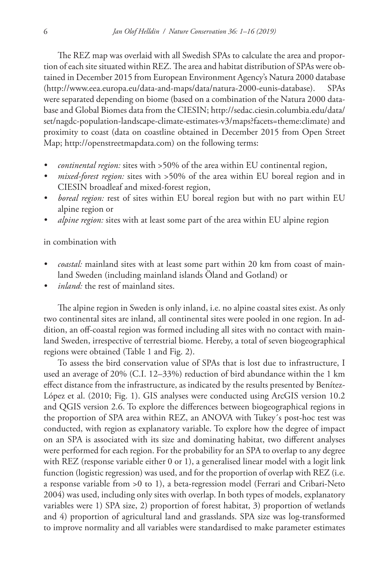The REZ map was overlaid with all Swedish SPAs to calculate the area and proportion of each site situated within REZ. The area and habitat distribution of SPAs were obtained in December 2015 from European Environment Agency's Natura 2000 database ([http://www.eea.europa.eu/data-and-maps/data/natura-2000-eunis-database\)](http://www.eea.europa.eu/data-and-maps/data/natura-2000-eunis-database). SPAs were separated depending on biome (based on a combination of the Natura 2000 database and Global Biomes data from the CIESIN; [http://sedac.ciesin.columbia.edu/data/](http://sedac.ciesin.columbia.edu/data/set/nagdc-population-landscape-climate-estimates-v3/maps?facets=theme:climate) [set/nagdc-population-landscape-climate-estimates-v3/maps?facets=theme:climate](http://sedac.ciesin.columbia.edu/data/set/nagdc-population-landscape-climate-estimates-v3/maps?facets=theme:climate)) and proximity to coast (data on coastline obtained in December 2015 from Open Street Map; <http://openstreetmapdata.com>) on the following terms:

- *• continental region:* sites with >50% of the area within EU continental region,
- *• mixed-forest region:* sites with >50% of the area within EU boreal region and in CIESIN broadleaf and mixed-forest region,
- *• boreal region:* rest of sites within EU boreal region but with no part within EU alpine region or
- *• alpine region:* sites with at least some part of the area within EU alpine region

in combination with

- *• coastal:* mainland sites with at least some part within 20 km from coast of mainland Sweden (including mainland islands Öland and Gotland) or
- *• inland:* the rest of mainland sites.

The alpine region in Sweden is only inland, i.e. no alpine coastal sites exist. As only two continental sites are inland, all continental sites were pooled in one region. In addition, an off-coastal region was formed including all sites with no contact with mainland Sweden, irrespective of terrestrial biome. Hereby, a total of seven biogeographical regions were obtained (Table 1 and Fig. 2).

To assess the bird conservation value of SPAs that is lost due to infrastructure, I used an average of 20% (C.I. 12–33%) reduction of bird abundance within the 1 km effect distance from the infrastructure, as indicated by the results presented by Benítez-López et al. (2010; Fig. 1). GIS analyses were conducted using ArcGIS version 10.2 and QGIS version 2.6. To explore the differences between biogeographical regions in the proportion of SPA area within REZ, an ANOVA with Tukey´s post-hoc test was conducted, with region as explanatory variable. To explore how the degree of impact on an SPA is associated with its size and dominating habitat, two different analyses were performed for each region. For the probability for an SPA to overlap to any degree with REZ (response variable either 0 or 1), a generalised linear model with a logit link function (logistic regression) was used, and for the proportion of overlap with REZ (i.e. a response variable from >0 to 1), a beta-regression model (Ferrari and Cribari-Neto 2004) was used, including only sites with overlap. In both types of models, explanatory variables were 1) SPA size, 2) proportion of forest habitat, 3) proportion of wetlands and 4) proportion of agricultural land and grasslands. SPA size was log-transformed to improve normality and all variables were standardised to make parameter estimates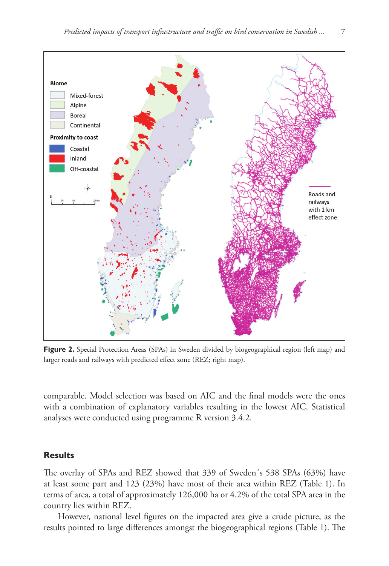

**Figure 2.** Special Protection Areas (SPAs) in Sweden divided by biogeographical region (left map) and larger roads and railways with predicted effect zone (REZ; right map).

comparable. Model selection was based on AIC and the final models were the ones with a combination of explanatory variables resulting in the lowest AIC. Statistical analyses were conducted using programme R version 3.4.2.

# **Results**

The overlay of SPAs and REZ showed that 339 of Sweden´s 538 SPAs (63%) have at least some part and 123 (23%) have most of their area within REZ (Table 1). In terms of area, a total of approximately 126,000 ha or 4.2% of the total SPA area in the country lies within REZ.

However, national level figures on the impacted area give a crude picture, as the results pointed to large differences amongst the biogeographical regions (Table 1). The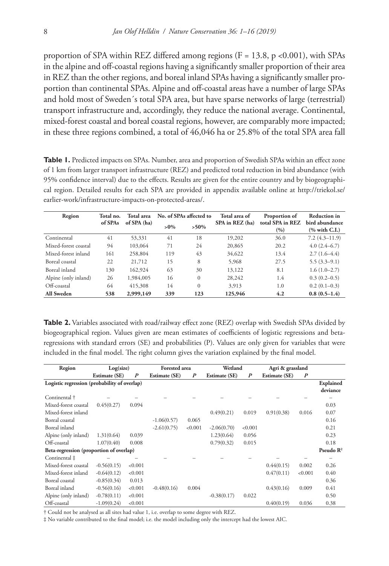proportion of SPA within REZ differed among regions ( $F = 13.8$ , p <0.001), with SPAs in the alpine and off-coastal regions having a significantly smaller proportion of their area in REZ than the other regions, and boreal inland SPAs having a significantly smaller proportion than continental SPAs. Alpine and off-coastal areas have a number of large SPAs and hold most of Sweden´s total SPA area, but have sparse networks of large (terrestrial) transport infrastructure and, accordingly, they reduce the national average. Continental, mixed-forest coastal and boreal coastal regions, however, are comparably more impacted; in these three regions combined, a total of 46,046 ha or 25.8% of the total SPA area fall

**Table 1.** Predicted impacts on SPAs. Number, area and proportion of Swedish SPAs within an effect zone of 1 km from larger transport infrastructure (REZ) and predicted total reduction in bird abundance (with 95% confidence interval) due to the effects. Results are given for the entire country and by biogeographical region. Detailed results for each SPA are provided in appendix available online at [http://triekol.se/](http://triekol.se/earlier-work/infrastructure-impacts-on-protected-areas/) [earlier-work/infrastructure-impacts-on-protected-areas/.](http://triekol.se/earlier-work/infrastructure-impacts-on-protected-areas/)

| Region               | Total no. | Total area  | No. of SPAs affected to |              | Total area of   | Proportion of             | <b>Reduction</b> in              |  |
|----------------------|-----------|-------------|-------------------------|--------------|-----------------|---------------------------|----------------------------------|--|
|                      | of SPAs   | of SPA (ha) | $>0\%$                  | $>50\%$      | SPA in REZ (ha) | total SPA in REZ<br>(9/0) | bird abundance<br>$%$ with C.I.) |  |
| Continental          | 41        | 53,331      | 41                      | 18           | 19,202          | 36.0                      | $7.2(4.3 - 11.9)$                |  |
| Mixed-forest coastal | 94        | 103,064     | 71                      | 24           | 20,865          | 20.2                      | $4.0(2.4-6.7)$                   |  |
| Mixed-forest inland  | 161       | 258,804     | 119                     | 43           | 34,622          | 13.4                      | $2.7(1.6-4.4)$                   |  |
| Boreal coastal       | 22        | 21,712      | 15                      | 8            | 5,968           | 27.5                      | $5.5(3.3-9.1)$                   |  |
| Boreal inland        | 130       | 162,924     | 63                      | 30           | 13,122          | 8.1                       | $1.6(1.0-2.7)$                   |  |
| Alpine (only inland) | 26        | 1,984,005   | 16                      | $\mathbf{0}$ | 28,242          | 1.4                       | $0.3(0.2-0.5)$                   |  |
| Off-coastal          | 64        | 415,308     | 14                      | $\mathbf{0}$ | 3.913           | 1.0                       | $0.2(0.1-0.3)$                   |  |
| All Sweden           | 538       | 2,999,149   | 339                     | 123          | 125,946         | 4.2                       | $0.8(0.5-1.4)$                   |  |

**Table 2.** Variables associated with road/railway effect zone (REZ) overlap with Swedish SPAs divided by biogeographical region. Values given are mean estimates of coefficients of logistic regressions and betaregressions with standard errors (SE) and probabilities (P). Values are only given for variables that were included in the final model. The right column gives the variation explained by the final model.

| Region                                       | Log(size)            |                  | <b>Forested</b> area |                  | Wetland              |                  | Agri & grassland     |                  |                       |
|----------------------------------------------|----------------------|------------------|----------------------|------------------|----------------------|------------------|----------------------|------------------|-----------------------|
|                                              | <b>Estimate (SE)</b> | $\boldsymbol{P}$ | <b>Estimate (SE)</b> | $\boldsymbol{P}$ | <b>Estimate (SE)</b> | $\boldsymbol{P}$ | <b>Estimate (SE)</b> | $\boldsymbol{P}$ |                       |
| Logistic regression (probability of overlap) |                      |                  |                      |                  |                      |                  |                      |                  | Explained<br>deviance |
| Continental †                                |                      |                  |                      |                  |                      |                  |                      |                  |                       |
| Mixed-forest coastal                         | 0.45(0.27)           | 0.094            |                      |                  |                      |                  |                      |                  | 0.03                  |
| Mixed-forest inland                          |                      |                  |                      |                  | 0.49(0.21)           | 0.019            | 0.91(0.38)           | 0.016            | 0.07                  |
| Boreal coastal                               |                      |                  | $-1.06(0.57)$        | 0.065            |                      |                  |                      |                  | 0.16                  |
| Boreal inland                                |                      |                  | $-2.61(0.75)$        | < 0.001          | $-2.06(0.70)$        | < 0.001          |                      |                  | 0.21                  |
| Alpine (only inland)                         | 1.31(0.64)           | 0.039            |                      |                  | 1.23(0.64)           | 0.056            |                      |                  | 0.23                  |
| Off-coastal                                  | 1.07(0.40)           | 0.008            |                      |                  | 0.79(0.32)           | 0.015            |                      |                  | 0.18                  |
| Beta-regression (proportion of overlap)      |                      |                  |                      |                  |                      |                  |                      |                  | Pseudo $\mathbb{R}^2$ |
| Continental ‡                                |                      |                  |                      |                  |                      |                  |                      |                  |                       |
| Mixed-forest coastal                         | $-0.56(0.15)$        | < 0.001          |                      |                  |                      |                  | 0.44(0.15)           | 0.002            | 0.26                  |
| Mixed-forest inland                          | $-0.64(0.12)$        | < 0.001          |                      |                  |                      |                  | 0.47(0.11)           | < 0.001          | 0.40                  |
| Boreal coastal                               | $-0.85(0.34)$        | 0.013            |                      |                  |                      |                  |                      |                  | 0.36                  |
| Boreal inland                                | $-0.56(0.16)$        | < 0.001          | $-0.48(0.16)$        | 0.004            |                      |                  | 0.43(0.16)           | 0.009            | 0.41                  |
| Alpine (only inland)                         | $-0.78(0.11)$        | < 0.001          |                      |                  | $-0.38(0.17)$        | 0.022            |                      |                  | 0.50                  |
| Off-coastal                                  | $-1.09(0.24)$        | < 0.001          |                      |                  |                      |                  | 0.40(0.19)           | 0.036            | 0.38                  |

† Could not be analysed as all sites had value 1, i.e. overlap to some degree with REZ.

‡ No variable contributed to the final model; i.e. the model including only the intercept had the lowest AIC.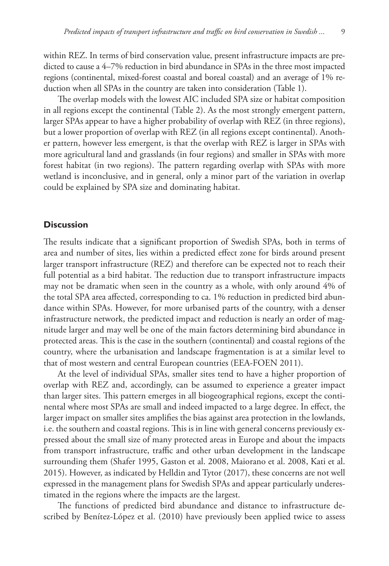within REZ. In terms of bird conservation value, present infrastructure impacts are predicted to cause a 4–7% reduction in bird abundance in SPAs in the three most impacted regions (continental, mixed-forest coastal and boreal coastal) and an average of 1% reduction when all SPAs in the country are taken into consideration (Table 1).

The overlap models with the lowest AIC included SPA size or habitat composition in all regions except the continental (Table 2). As the most strongly emergent pattern, larger SPAs appear to have a higher probability of overlap with REZ (in three regions), but a lower proportion of overlap with REZ (in all regions except continental). Another pattern, however less emergent, is that the overlap with REZ is larger in SPAs with more agricultural land and grasslands (in four regions) and smaller in SPAs with more forest habitat (in two regions). The pattern regarding overlap with SPAs with more wetland is inconclusive, and in general, only a minor part of the variation in overlap could be explained by SPA size and dominating habitat.

# **Discussion**

The results indicate that a significant proportion of Swedish SPAs, both in terms of area and number of sites, lies within a predicted effect zone for birds around present larger transport infrastructure (REZ) and therefore can be expected not to reach their full potential as a bird habitat. The reduction due to transport infrastructure impacts may not be dramatic when seen in the country as a whole, with only around 4% of the total SPA area affected, corresponding to ca. 1% reduction in predicted bird abundance within SPAs. However, for more urbanised parts of the country, with a denser infrastructure network, the predicted impact and reduction is nearly an order of magnitude larger and may well be one of the main factors determining bird abundance in protected areas. This is the case in the southern (continental) and coastal regions of the country, where the urbanisation and landscape fragmentation is at a similar level to that of most western and central European countries (EEA-FOEN 2011).

At the level of individual SPAs, smaller sites tend to have a higher proportion of overlap with REZ and, accordingly, can be assumed to experience a greater impact than larger sites. This pattern emerges in all biogeographical regions, except the continental where most SPAs are small and indeed impacted to a large degree. In effect, the larger impact on smaller sites amplifies the bias against area protection in the lowlands, i.e. the southern and coastal regions. This is in line with general concerns previously expressed about the small size of many protected areas in Europe and about the impacts from transport infrastructure, traffic and other urban development in the landscape surrounding them (Shafer 1995, Gaston et al. 2008, Maiorano et al. 2008, Kati et al. 2015). However, as indicated by Helldin and Tytor (2017), these concerns are not well expressed in the management plans for Swedish SPAs and appear particularly underestimated in the regions where the impacts are the largest.

The functions of predicted bird abundance and distance to infrastructure described by Benítez-López et al. (2010) have previously been applied twice to assess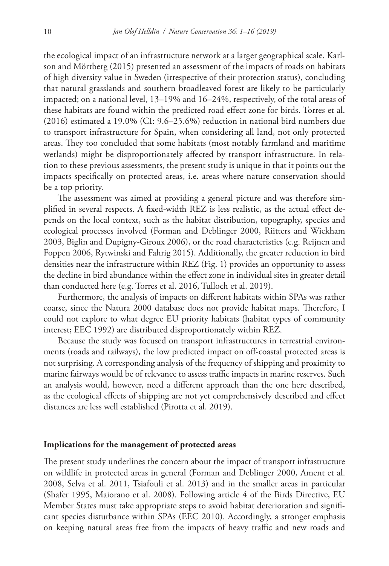the ecological impact of an infrastructure network at a larger geographical scale. Karlson and Mörtberg (2015) presented an assessment of the impacts of roads on habitats of high diversity value in Sweden (irrespective of their protection status), concluding that natural grasslands and southern broadleaved forest are likely to be particularly impacted; on a national level, 13–19% and 16–24%, respectively, of the total areas of these habitats are found within the predicted road effect zone for birds. Torres et al. (2016) estimated a 19.0% (CI: 9.6–25.6%) reduction in national bird numbers due to transport infrastructure for Spain, when considering all land, not only protected areas. They too concluded that some habitats (most notably farmland and maritime wetlands) might be disproportionately affected by transport infrastructure. In relation to these previous assessments, the present study is unique in that it points out the impacts specifically on protected areas, i.e. areas where nature conservation should be a top priority.

The assessment was aimed at providing a general picture and was therefore simplified in several respects. A fixed-width REZ is less realistic, as the actual effect depends on the local context, such as the habitat distribution, topography, species and ecological processes involved (Forman and Deblinger 2000, Riitters and Wickham 2003, Biglin and Dupigny-Giroux 2006), or the road characteristics (e.g. Reijnen and Foppen 2006, Rytwinski and Fahrig 2015). Additionally, the greater reduction in bird densities near the infrastructure within REZ (Fig. 1) provides an opportunity to assess the decline in bird abundance within the effect zone in individual sites in greater detail than conducted here (e.g. Torres et al. 2016, Tulloch et al. 2019).

Furthermore, the analysis of impacts on different habitats within SPAs was rather coarse, since the Natura 2000 database does not provide habitat maps. Therefore, I could not explore to what degree EU priority habitats (habitat types of community interest; EEC 1992) are distributed disproportionately within REZ.

Because the study was focused on transport infrastructures in terrestrial environments (roads and railways), the low predicted impact on off-coastal protected areas is not surprising. A corresponding analysis of the frequency of shipping and proximity to marine fairways would be of relevance to assess traffic impacts in marine reserves. Such an analysis would, however, need a different approach than the one here described, as the ecological effects of shipping are not yet comprehensively described and effect distances are less well established (Pirotta et al. 2019).

### **Implications for the management of protected areas**

The present study underlines the concern about the impact of transport infrastructure on wildlife in protected areas in general (Forman and Deblinger 2000, Ament et al. 2008, Selva et al. 2011, Tsiafouli et al. 2013) and in the smaller areas in particular (Shafer 1995, Maiorano et al. 2008). Following article 4 of the Birds Directive, EU Member States must take appropriate steps to avoid habitat deterioration and significant species disturbance within SPAs (EEC 2010). Accordingly, a stronger emphasis on keeping natural areas free from the impacts of heavy traffic and new roads and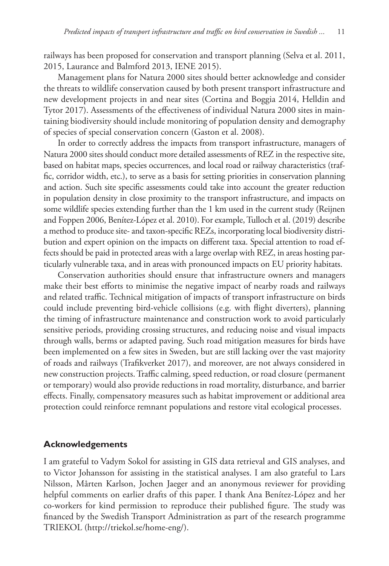railways has been proposed for conservation and transport planning (Selva et al. 2011, 2015, Laurance and Balmford 2013, IENE 2015).

Management plans for Natura 2000 sites should better acknowledge and consider the threats to wildlife conservation caused by both present transport infrastructure and new development projects in and near sites (Cortina and Boggia 2014, Helldin and Tytor 2017). Assessments of the effectiveness of individual Natura 2000 sites in maintaining biodiversity should include monitoring of population density and demography of species of special conservation concern (Gaston et al. 2008).

In order to correctly address the impacts from transport infrastructure, managers of Natura 2000 sites should conduct more detailed assessments of REZ in the respective site, based on habitat maps, species occurrences, and local road or railway characteristics (traffic, corridor width, etc.), to serve as a basis for setting priorities in conservation planning and action. Such site specific assessments could take into account the greater reduction in population density in close proximity to the transport infrastructure, and impacts on some wildlife species extending further than the 1 km used in the current study (Reijnen and Foppen 2006, Benítez-López et al. 2010). For example, Tulloch et al. (2019) describe a method to produce site- and taxon-specific REZs, incorporating local biodiversity distribution and expert opinion on the impacts on different taxa. Special attention to road effects should be paid in protected areas with a large overlap with REZ, in areas hosting particularly vulnerable taxa, and in areas with pronounced impacts on EU priority habitats.

Conservation authorities should ensure that infrastructure owners and managers make their best efforts to minimise the negative impact of nearby roads and railways and related traffic. Technical mitigation of impacts of transport infrastructure on birds could include preventing bird-vehicle collisions (e.g. with flight diverters), planning the timing of infrastructure maintenance and construction work to avoid particularly sensitive periods, providing crossing structures, and reducing noise and visual impacts through walls, berms or adapted paving. Such road mitigation measures for birds have been implemented on a few sites in Sweden, but are still lacking over the vast majority of roads and railways (Trafikverket 2017), and moreover, are not always considered in new construction projects. Traffic calming, speed reduction, or road closure (permanent or temporary) would also provide reductions in road mortality, disturbance, and barrier effects. Finally, compensatory measures such as habitat improvement or additional area protection could reinforce remnant populations and restore vital ecological processes.

## **Acknowledgements**

I am grateful to Vadym Sokol for assisting in GIS data retrieval and GIS analyses, and to Victor Johansson for assisting in the statistical analyses. I am also grateful to Lars Nilsson, Mårten Karlson, Jochen Jaeger and an anonymous reviewer for providing helpful comments on earlier drafts of this paper. I thank Ana Benítez-López and her co-workers for kind permission to reproduce their published figure. The study was financed by the Swedish Transport Administration as part of the research programme TRIEKOL [\(http://triekol.se/home-eng/](http://triekol.se/home-eng/)).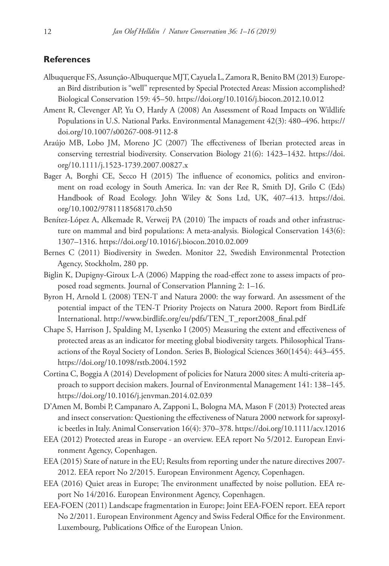### **References**

- Albuquerque FS, Assunção-Albuquerque MJT, Cayuela L, Zamora R, Benito BM (2013) European Bird distribution is "well" represented by Special Protected Areas: Mission accomplished? Biological Conservation 159: 45–50. <https://doi.org/10.1016/j.biocon.2012.10.012>
- Ament R, Clevenger AP, Yu O, Hardy A (2008) An Assessment of Road Impacts on Wildlife Populations in U.S. National Parks. Environmental Management 42(3): 480–496. [https://](https://doi.org/10.1007/s00267-008-9112-8) [doi.org/10.1007/s00267-008-9112-8](https://doi.org/10.1007/s00267-008-9112-8)
- Araújo MB, Lobo JM, Moreno JC (2007) The effectiveness of Iberian protected areas in conserving terrestrial biodiversity. Conservation Biology 21(6): 1423–1432. [https://doi.](https://doi.org/10.1111/j.1523-1739.2007.00827.x) [org/10.1111/j.1523-1739.2007.00827.x](https://doi.org/10.1111/j.1523-1739.2007.00827.x)
- Bager A, Borghi CE, Secco H (2015) The influence of economics, politics and environment on road ecology in South America. In: van der Ree R, Smith DJ, Grilo C (Eds) Handbook of Road Ecology. John Wiley & Sons Ltd, UK, 407–413. [https://doi.](https://doi.org/10.1002/9781118568170.ch50) [org/10.1002/9781118568170.ch50](https://doi.org/10.1002/9781118568170.ch50)
- Benítez-López A, Alkemade R, Verweij PA (2010) The impacts of roads and other infrastructure on mammal and bird populations: A meta-analysis. Biological Conservation 143(6): 1307–1316.<https://doi.org/10.1016/j.biocon.2010.02.009>
- Bernes C (2011) Biodiversity in Sweden. Monitor 22, Swedish Environmental Protection Agency, Stockholm, 280 pp.
- Biglin K, Dupigny-Giroux L-A (2006) Mapping the road-effect zone to assess impacts of proposed road segments. Journal of Conservation Planning 2: 1–16.
- Byron H, Arnold L (2008) TEN-T and Natura 2000: the way forward. An assessment of the potential impact of the TEN-T Priority Projects on Natura 2000. Report from BirdLife International. [http://www.birdlife.org/eu/pdfs/TEN\\_T\\_report2008\\_final.pdf](http://www.birdlife.org/eu/pdfs/TEN_T_report2008_final.pdf)
- Chape S, Harrison J, Spalding M, Lysenko I (2005) Measuring the extent and effectiveness of protected areas as an indicator for meeting global biodiversity targets. Philosophical Transactions of the Royal Society of London. Series B, Biological Sciences 360(1454): 443–455. <https://doi.org/10.1098/rstb.2004.1592>
- Cortina C, Boggia A (2014) Development of policies for Natura 2000 sites: A multi-criteria approach to support decision makers. Journal of Environmental Management 141: 138–145. <https://doi.org/10.1016/j.jenvman.2014.02.039>
- D'Amen M, Bombi P, Campanaro A, Zapponi L, Bologna MA, Mason F (2013) Protected areas and insect conservation: Questioning the effectiveness of Natura 2000 network for saproxylic beetles in Italy. Animal Conservation 16(4): 370–378.<https://doi.org/10.1111/acv.12016>
- EEA (2012) Protected areas in Europe an overview. EEA report No 5/2012. European Environment Agency, Copenhagen.
- EEA (2015) State of nature in the EU; Results from reporting under the nature directives 2007- 2012. EEA report No 2/2015. European Environment Agency, Copenhagen.
- EEA (2016) Quiet areas in Europe; The environment unaffected by noise pollution. EEA report No 14/2016. European Environment Agency, Copenhagen.
- EEA-FOEN (2011) Landscape fragmentation in Europe; Joint EEA-FOEN report. EEA report No 2/2011. European Environment Agency and Swiss Federal Office for the Environment. Luxembourg, Publications Office of the European Union.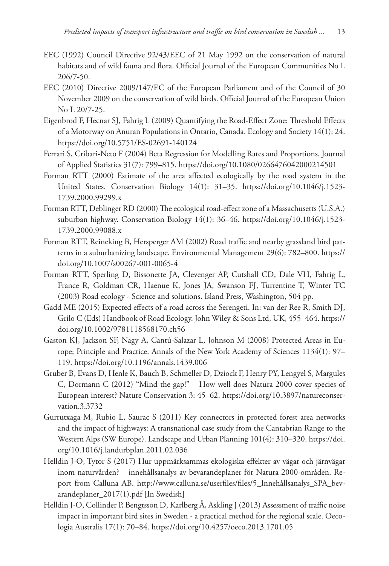- EEC (1992) Council Directive 92/43/EEC of 21 May 1992 on the conservation of natural habitats and of wild fauna and flora. Official Journal of the European Communities No L 206/7-50.
- EEC (2010) Directive 2009/147/EC of the European Parliament and of the Council of 30 November 2009 on the conservation of wild birds. Official Journal of the European Union No L 20/7-25.
- Eigenbrod F, Hecnar SJ, Fahrig L (2009) Quantifying the Road-Effect Zone: Threshold Effects of a Motorway on Anuran Populations in Ontario, Canada. Ecology and Society 14(1): 24. <https://doi.org/10.5751/ES-02691-140124>
- Ferrari S, Cribari-Neto F (2004) Beta Regression for Modelling Rates and Proportions. Journal of Applied Statistics 31(7): 799–815. <https://doi.org/10.1080/0266476042000214501>
- Forman RTT (2000) Estimate of the area affected ecologically by the road system in the United States. Conservation Biology 14(1): 31–35. [https://doi.org/10.1046/j.1523-](https://doi.org/10.1046/j.1523-1739.2000.99299.x) [1739.2000.99299.x](https://doi.org/10.1046/j.1523-1739.2000.99299.x)
- Forman RTT, Deblinger RD (2000) The ecological road-effect zone of a Massachusetts (U.S.A.) suburban highway. Conservation Biology 14(1): 36–46. [https://doi.org/10.1046/j.1523-](https://doi.org/10.1046/j.1523-1739.2000.99088.x) [1739.2000.99088.x](https://doi.org/10.1046/j.1523-1739.2000.99088.x)
- Forman RTT, Reineking B, Hersperger AM (2002) Road traffic and nearby grassland bird patterns in a suburbanizing landscape. Environmental Management 29(6): 782–800. [https://](https://doi.org/10.1007/s00267-001-0065-4) [doi.org/10.1007/s00267-001-0065-4](https://doi.org/10.1007/s00267-001-0065-4)
- Forman RTT, Sperling D, Bissonette JA, Clevenger AP, Cutshall CD, Dale VH, Fahrig L, France R, Goldman CR, Haenue K, Jones JA, Swanson FJ, Turrentine T, Winter TC (2003) Road ecology - Science and solutions. Island Press, Washington, 504 pp.
- Gadd ME (2015) Expected effects of a road across the Serengeti. In: van der Ree R, Smith DJ, Grilo C (Eds) Handbook of Road Ecology. John Wiley & Sons Ltd, UK, 455–464. [https://](https://doi.org/10.1002/9781118568170.ch56) [doi.org/10.1002/9781118568170.ch56](https://doi.org/10.1002/9781118568170.ch56)
- Gaston KJ, Jackson SF, Nagy A, Cantú-Salazar L, Johnson M (2008) Protected Areas in Europe; Principle and Practice. Annals of the New York Academy of Sciences 1134(1): 97– 119.<https://doi.org/10.1196/annals.1439.006>
- Gruber B, Evans D, Henle K, Bauch B, Schmeller D, Dziock F, Henry PY, Lengyel S, Margules C, Dormann C (2012) "Mind the gap!" – How well does Natura 2000 cover species of European interest? Nature Conservation 3: 45–62. [https://doi.org/10.3897/natureconser](https://doi.org/10.3897/natureconservation.3.3732)[vation.3.3732](https://doi.org/10.3897/natureconservation.3.3732)
- Gurrutxaga M, Rubio L, Saurac S (2011) Key connectors in protected forest area networks and the impact of highways: A transnational case study from the Cantabrian Range to the Western Alps (SW Europe). Landscape and Urban Planning 101(4): 310–320. [https://doi.](https://doi.org/10.1016/j.landurbplan.2011.02.036) [org/10.1016/j.landurbplan.2011.02.036](https://doi.org/10.1016/j.landurbplan.2011.02.036)
- Helldin J-O, Tytor S (2017) Hur uppmärksammas ekologiska effekter av vägar och järnvägar inom naturvården? – innehållsanalys av bevarandeplaner för Natura 2000-områden. Report from Calluna AB. [http://www.calluna.se/userfiles/files/5\\_Innehållsanalys\\_SPA\\_bev](http://www.calluna.se/userfiles/files/5_Inneh%C3%A5llsanalys_SPA_bevarandeplaner_2017(1).pdf)[arandeplaner\\_2017\(1\).pdf](http://www.calluna.se/userfiles/files/5_Inneh%C3%A5llsanalys_SPA_bevarandeplaner_2017(1).pdf) [In Swedish]
- Helldin J-O, Collinder P, Bengtsson D, Karlberg Å, Askling J (2013) Assessment of traffic noise impact in important bird sites in Sweden - a practical method for the regional scale. Oecologia Australis 17(1): 70–84.<https://doi.org/10.4257/oeco.2013.1701.05>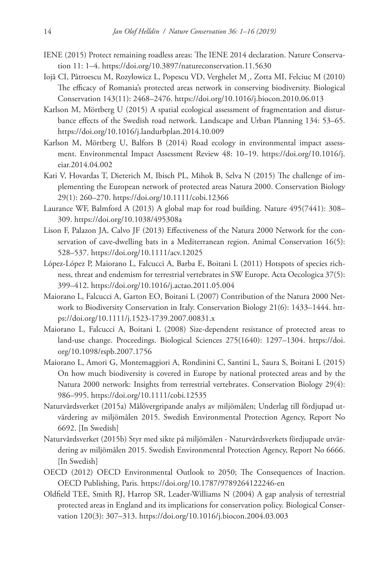- IENE (2015) Protect remaining roadless areas: The IENE 2014 declaration. Nature Conservation 11: 1–4. <https://doi.org/10.3897/natureconservation.11.5630>
- Iojă CI, Pâtroescu M, Rozylowicz L, Popescu VD, Verghelet M¸, Zotta MI, Felciuc M (2010) The efficacy of Romania's protected areas network in conserving biodiversity. Biological Conservation 143(11): 2468–2476.<https://doi.org/10.1016/j.biocon.2010.06.013>
- Karlson M, Mörtberg U (2015) A spatial ecological assessment of fragmentation and disturbance effects of the Swedish road network. Landscape and Urban Planning 134: 53–65. <https://doi.org/10.1016/j.landurbplan.2014.10.009>
- Karlson M, Mörtberg U, Balfors B (2014) Road ecology in environmental impact assessment. Environmental Impact Assessment Review 48: 10–19. [https://doi.org/10.1016/j.](https://doi.org/10.1016/j.eiar.2014.04.002) [eiar.2014.04.002](https://doi.org/10.1016/j.eiar.2014.04.002)
- Kati V, Hovardas T, Dieterich M, Ibisch PL, Mihok B, Selva N (2015) The challenge of implementing the European network of protected areas Natura 2000. Conservation Biology 29(1): 260–270. <https://doi.org/10.1111/cobi.12366>
- Laurance WF, Balmford A (2013) A global map for road building. Nature 495(7441): 308– 309.<https://doi.org/10.1038/495308a>
- Lison F, Palazon JA, Calvo JF (2013) Effectiveness of the Natura 2000 Network for the conservation of cave-dwelling bats in a Mediterranean region. Animal Conservation 16(5): 528–537.<https://doi.org/10.1111/acv.12025>
- López-López P, Maiorano L, Falcucci A, Barba E, Boitani L (2011) Hotspots of species richness, threat and endemism for terrestrial vertebrates in SW Europe. Acta Oecologica 37(5): 399–412.<https://doi.org/10.1016/j.actao.2011.05.004>
- Maiorano L, Falcucci A, Garton EO, Boitani L (2007) Contribution of the Natura 2000 Network to Biodiversity Conservation in Italy. Conservation Biology 21(6): 1433–1444. [htt](https://doi.org/10.1111/j.1523-1739.2007.00831.x)[ps://doi.org/10.1111/j.1523-1739.2007.00831.x](https://doi.org/10.1111/j.1523-1739.2007.00831.x)
- Maiorano L, Falcucci A, Boitani L (2008) Size-dependent resistance of protected areas to land-use change. Proceedings. Biological Sciences 275(1640): 1297–1304. [https://doi.](https://doi.org/10.1098/rspb.2007.1756) [org/10.1098/rspb.2007.1756](https://doi.org/10.1098/rspb.2007.1756)
- Maiorano L, Amori G, Montemaggiori A, Rondinini C, Santini L, Saura S, Boitani L (2015) On how much biodiversity is covered in Europe by national protected areas and by the Natura 2000 network: Insights from terrestrial vertebrates. Conservation Biology 29(4): 986–995.<https://doi.org/10.1111/cobi.12535>
- Naturvårdsverket (2015a) Målövergripande analys av miljömålen; Underlag till fördjupad utvärdering av miljömålen 2015. Swedish Environmental Protection Agency, Report No 6692. [In Swedish]
- Naturvårdsverket (2015b) Styr med sikte på miljömålen Naturvårdsverkets fördjupade utvärdering av miljömålen 2015. Swedish Environmental Protection Agency, Report No 6666. [In Swedish]
- OECD (2012) OECD Environmental Outlook to 2050; The Consequences of Inaction. OECD Publishing, Paris. <https://doi.org/10.1787/9789264122246-en>
- Oldfield TEE, Smith RJ, Harrop SR, Leader-Williams N (2004) A gap analysis of terrestrial protected areas in England and its implications for conservation policy. Biological Conservation 120(3): 307–313.<https://doi.org/10.1016/j.biocon.2004.03.003>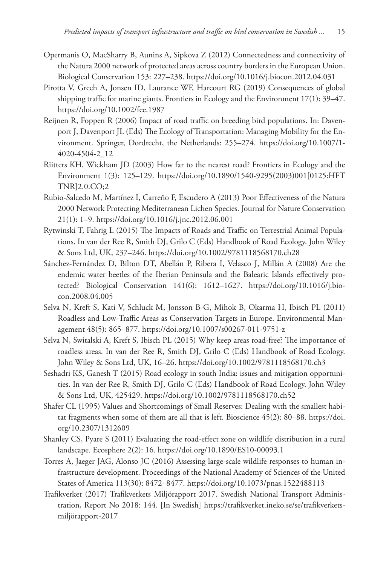- Opermanis O, MacSharry B, Aunins A, Sipkova Z (2012) Connectedness and connectivity of the Natura 2000 network of protected areas across country borders in the European Union. Biological Conservation 153: 227–238.<https://doi.org/10.1016/j.biocon.2012.04.031>
- Pirotta V, Grech A, Jonsen ID, Laurance WF, Harcourt RG (2019) Consequences of global shipping traffic for marine giants. Frontiers in Ecology and the Environment 17(1): 39–47. <https://doi.org/10.1002/fee.1987>
- Reijnen R, Foppen R (2006) Impact of road traffic on breeding bird populations. In: Davenport J, Davenport JL (Eds) The Ecology of Transportation: Managing Mobility for the Environment. Springer, Dordrecht, the Netherlands: 255–274. [https://doi.org/10.1007/1-](https://doi.org/10.1007/1-4020-4504-2_12) [4020-4504-2\\_12](https://doi.org/10.1007/1-4020-4504-2_12)
- Riitters KH, Wickham JD (2003) How far to the nearest road? Frontiers in Ecology and the Environment 1(3): 125–129. [https://doi.org/10.1890/1540-9295\(2003\)001\[0125:HFT](https://doi.org/10.1890/1540-9295(2003)001%5B0125:HFTTNR%5D2.0.CO;2) [TNR\]2.0.CO;2](https://doi.org/10.1890/1540-9295(2003)001%5B0125:HFTTNR%5D2.0.CO;2)
- Rubio-Salcedo M, Martínez I, Carreño F, Escudero A (2013) Poor Effectiveness of the Natura 2000 Network Protecting Mediterranean Lichen Species. Journal for Nature Conservation 21(1): 1–9. <https://doi.org/10.1016/j.jnc.2012.06.001>
- Rytwinski T, Fahrig L (2015) The Impacts of Roads and Traffic on Terrestrial Animal Populations. In van der Ree R, Smith DJ, Grilo C (Eds) Handbook of Road Ecology. John Wiley & Sons Ltd, UK, 237–246. <https://doi.org/10.1002/9781118568170.ch28>
- Sánchez-Fernández D, Bilton DT, Abellán P, Ribera I, Velasco J, Millán A (2008) Are the endemic water beetles of the Iberian Peninsula and the Balearic Islands effectively protected? Biological Conservation 141(6): 1612–1627. [https://doi.org/10.1016/j.bio](https://doi.org/10.1016/j.biocon.2008.04.005)[con.2008.04.005](https://doi.org/10.1016/j.biocon.2008.04.005)
- Selva N, Kreft S, Kati V, Schluck M, Jonsson B-G, Mihok B, Okarma H, Ibisch PL (2011) Roadless and Low-Traffic Areas as Conservation Targets in Europe. Environmental Management 48(5): 865–877. <https://doi.org/10.1007/s00267-011-9751-z>
- Selva N, Switalski A, Kreft S, Ibisch PL (2015) Why keep areas road-free? The importance of roadless areas. In van der Ree R, Smith DJ, Grilo C (Eds) Handbook of Road Ecology. John Wiley & Sons Ltd, UK, 16–26. <https://doi.org/10.1002/9781118568170.ch3>
- Seshadri KS, Ganesh T (2015) Road ecology in south India: issues and mitigation opportunities. In van der Ree R, Smith DJ, Grilo C (Eds) Handbook of Road Ecology. John Wiley & Sons Ltd, UK, 425429. <https://doi.org/10.1002/9781118568170.ch52>
- Shafer CL (1995) Values and Shortcomings of Small Reserves: Dealing with the smallest habitat fragments when some of them are all that is left. Bioscience 45(2): 80–88. [https://doi.](https://doi.org/10.2307/1312609) [org/10.2307/1312609](https://doi.org/10.2307/1312609)
- Shanley CS, Pyare S (2011) Evaluating the road-effect zone on wildlife distribution in a rural landscape. Ecosphere 2(2): 16. <https://doi.org/10.1890/ES10-00093.1>
- Torres A, Jaeger JAG, Alonso JC (2016) Assessing large-scale wildlife responses to human infrastructure development. Proceedings of the National Academy of Sciences of the United States of America 113(30): 8472–8477.<https://doi.org/10.1073/pnas.1522488113>
- Trafikverket (2017) Trafikverkets Miljörapport 2017. Swedish National Transport Administration, Report No 2018: 144. [In Swedish] [https://trafikverket.ineko.se/se/trafikverkets](https://trafikverket.ineko.se/se/trafikverkets-milj%C3%B6rapport-2017)[miljörapport-2017](https://trafikverket.ineko.se/se/trafikverkets-milj%C3%B6rapport-2017)